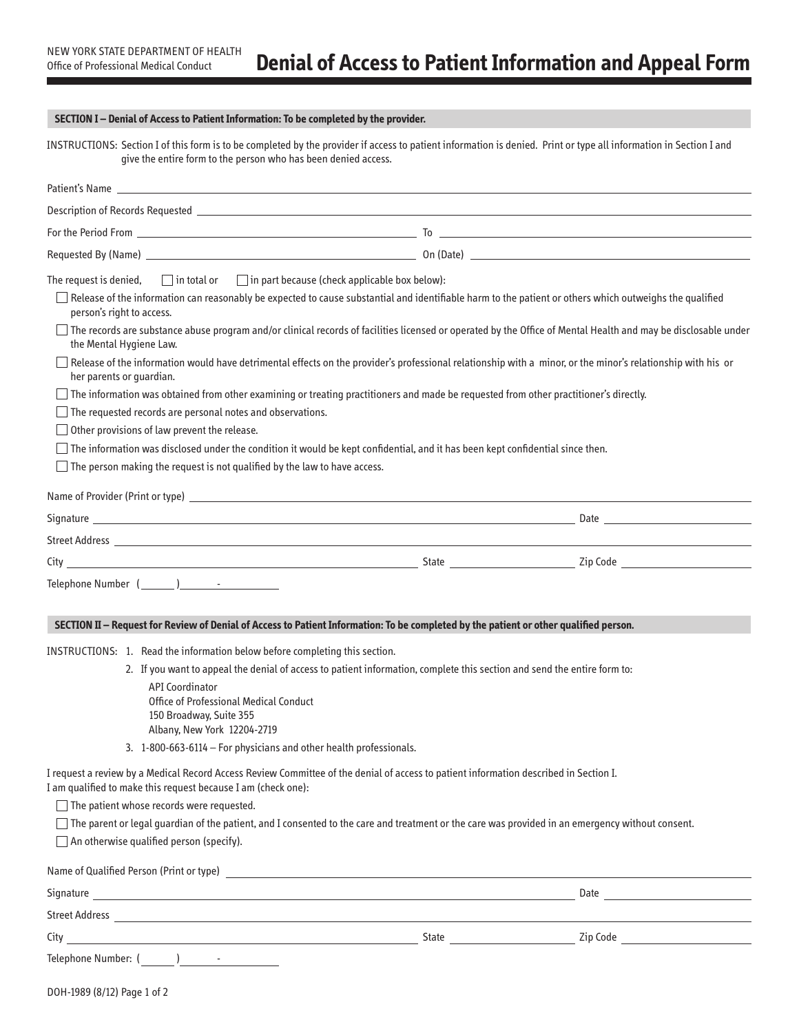# **SECTION I – Denial of Access to Patient Information: To be completed by the provider.**

INSTRUCTIONS: Section I of this form is to be completed by the provider if access to patient information is denied. Print or type all information in Section I and give the entire form to the person who has been denied access.

|                                                                                                                                                                                                                                                                                                                                                                                                    | Patient's Name <b>Example 2018</b>                                                                                                                                                                                                                                                                                                                                                                                                                                                                                                                                                                                                                                                                                                                                                                     |  |
|----------------------------------------------------------------------------------------------------------------------------------------------------------------------------------------------------------------------------------------------------------------------------------------------------------------------------------------------------------------------------------------------------|--------------------------------------------------------------------------------------------------------------------------------------------------------------------------------------------------------------------------------------------------------------------------------------------------------------------------------------------------------------------------------------------------------------------------------------------------------------------------------------------------------------------------------------------------------------------------------------------------------------------------------------------------------------------------------------------------------------------------------------------------------------------------------------------------------|--|
|                                                                                                                                                                                                                                                                                                                                                                                                    |                                                                                                                                                                                                                                                                                                                                                                                                                                                                                                                                                                                                                                                                                                                                                                                                        |  |
|                                                                                                                                                                                                                                                                                                                                                                                                    | For the Period From $\frac{1}{2}$ . The contract of the Period From $\frac{1}{2}$ . To $\frac{1}{2}$ . To $\frac{1}{2}$ . To $\frac{1}{2}$ . The contract of the Period From $\frac{1}{2}$ . The contract of the Period From $\frac{1}{2}$ . The contract                                                                                                                                                                                                                                                                                                                                                                                                                                                                                                                                              |  |
|                                                                                                                                                                                                                                                                                                                                                                                                    |                                                                                                                                                                                                                                                                                                                                                                                                                                                                                                                                                                                                                                                                                                                                                                                                        |  |
| The request is denied, $\Box$ in total or $\Box$ in part because (check applicable box below):<br>person's right to access.<br>the Mental Hygiene Law.<br>her parents or guardian.<br>$\Box$ The requested records are personal notes and observations.<br>$\Box$ Other provisions of law prevent the release.<br>$\Box$ The person making the request is not qualified by the law to have access. | $\Box$ Release of the information can reasonably be expected to cause substantial and identifiable harm to the patient or others which outweighs the qualified<br>$\Box$ The records are substance abuse program and/or clinical records of facilities licensed or operated by the Office of Mental Health and may be disclosable under<br>$\Box$ Release of the information would have detrimental effects on the provider's professional relationship with a minor, or the minor's relationship with his or<br>$\Box$ The information was obtained from other examining or treating practitioners and made be requested from other practitioner's directly.<br>$\Box$ The information was disclosed under the condition it would be kept confidential, and it has been kept confidential since then. |  |
|                                                                                                                                                                                                                                                                                                                                                                                                    |                                                                                                                                                                                                                                                                                                                                                                                                                                                                                                                                                                                                                                                                                                                                                                                                        |  |
|                                                                                                                                                                                                                                                                                                                                                                                                    |                                                                                                                                                                                                                                                                                                                                                                                                                                                                                                                                                                                                                                                                                                                                                                                                        |  |
|                                                                                                                                                                                                                                                                                                                                                                                                    |                                                                                                                                                                                                                                                                                                                                                                                                                                                                                                                                                                                                                                                                                                                                                                                                        |  |
|                                                                                                                                                                                                                                                                                                                                                                                                    |                                                                                                                                                                                                                                                                                                                                                                                                                                                                                                                                                                                                                                                                                                                                                                                                        |  |
|                                                                                                                                                                                                                                                                                                                                                                                                    | SECTION II - Request for Review of Denial of Access to Patient Information: To be completed by the patient or other qualified person.                                                                                                                                                                                                                                                                                                                                                                                                                                                                                                                                                                                                                                                                  |  |
| INSTRUCTIONS: 1. Read the information below before completing this section.                                                                                                                                                                                                                                                                                                                        |                                                                                                                                                                                                                                                                                                                                                                                                                                                                                                                                                                                                                                                                                                                                                                                                        |  |
| <b>API Coordinator</b><br>Office of Professional Medical Conduct<br>150 Broadway, Suite 355<br>Albany, New York 12204-2719<br>3. 1-800-663-6114 - For physicians and other health professionals.                                                                                                                                                                                                   | 2. If you want to appeal the denial of access to patient information, complete this section and send the entire form to:<br>I request a review by a Medical Record Access Review Committee of the denial of access to patient information described in Section I.                                                                                                                                                                                                                                                                                                                                                                                                                                                                                                                                      |  |
| I am qualified to make this request because I am (check one):                                                                                                                                                                                                                                                                                                                                      |                                                                                                                                                                                                                                                                                                                                                                                                                                                                                                                                                                                                                                                                                                                                                                                                        |  |
| $\Box$ The patient whose records were requested.<br>An otherwise qualified person (specify).                                                                                                                                                                                                                                                                                                       | $\Box$ The parent or legal guardian of the patient, and I consented to the care and treatment or the care was provided in an emergency without consent.                                                                                                                                                                                                                                                                                                                                                                                                                                                                                                                                                                                                                                                |  |
|                                                                                                                                                                                                                                                                                                                                                                                                    | Name of Qualified Person (Print or type) 2008 2009 2010 2021 2022 2023 2024 2022 2023 2024 2022 2023 2024 2022 2023 2024 2022 2023 2024 2022 2023 2024 2022 2023 2024 2022 2023 2024 2022 2023 2024 2022 2023 2024 2022 2023 2                                                                                                                                                                                                                                                                                                                                                                                                                                                                                                                                                                         |  |
|                                                                                                                                                                                                                                                                                                                                                                                                    |                                                                                                                                                                                                                                                                                                                                                                                                                                                                                                                                                                                                                                                                                                                                                                                                        |  |
|                                                                                                                                                                                                                                                                                                                                                                                                    |                                                                                                                                                                                                                                                                                                                                                                                                                                                                                                                                                                                                                                                                                                                                                                                                        |  |
|                                                                                                                                                                                                                                                                                                                                                                                                    |                                                                                                                                                                                                                                                                                                                                                                                                                                                                                                                                                                                                                                                                                                                                                                                                        |  |
|                                                                                                                                                                                                                                                                                                                                                                                                    |                                                                                                                                                                                                                                                                                                                                                                                                                                                                                                                                                                                                                                                                                                                                                                                                        |  |